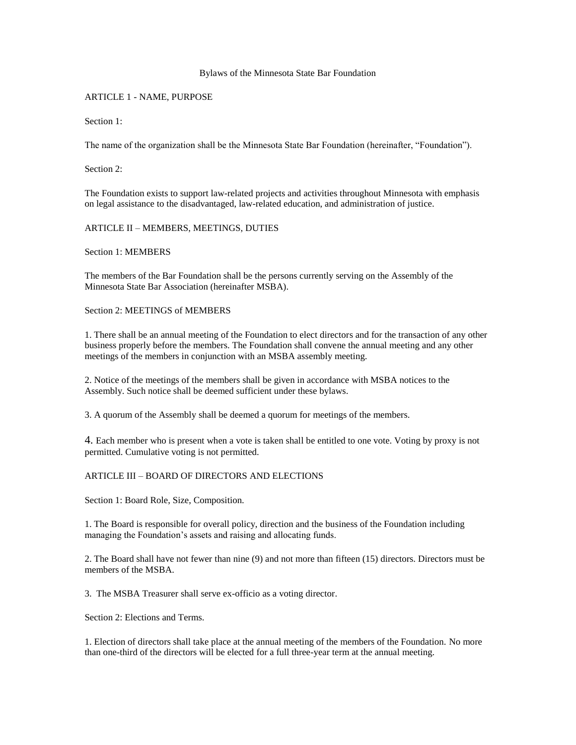#### Bylaws of the Minnesota State Bar Foundation

## ARTICLE 1 - NAME, PURPOSE

Section 1:

The name of the organization shall be the Minnesota State Bar Foundation (hereinafter, "Foundation").

Section 2:

The Foundation exists to support law-related projects and activities throughout Minnesota with emphasis on legal assistance to the disadvantaged, law-related education, and administration of justice.

## ARTICLE II – MEMBERS, MEETINGS, DUTIES

Section 1: MEMBERS

The members of the Bar Foundation shall be the persons currently serving on the Assembly of the Minnesota State Bar Association (hereinafter MSBA).

Section 2: MEETINGS of MEMBERS

1. There shall be an annual meeting of the Foundation to elect directors and for the transaction of any other business properly before the members. The Foundation shall convene the annual meeting and any other meetings of the members in conjunction with an MSBA assembly meeting.

2. Notice of the meetings of the members shall be given in accordance with MSBA notices to the Assembly. Such notice shall be deemed sufficient under these bylaws.

3. A quorum of the Assembly shall be deemed a quorum for meetings of the members.

4. Each member who is present when a vote is taken shall be entitled to one vote. Voting by proxy is not permitted. Cumulative voting is not permitted.

# ARTICLE III – BOARD OF DIRECTORS AND ELECTIONS

Section 1: Board Role, Size, Composition.

1. The Board is responsible for overall policy, direction and the business of the Foundation including managing the Foundation's assets and raising and allocating funds.

2. The Board shall have not fewer than nine (9) and not more than fifteen (15) directors. Directors must be members of the MSBA.

3. The MSBA Treasurer shall serve ex-officio as a voting director.

Section 2: Elections and Terms.

1. Election of directors shall take place at the annual meeting of the members of the Foundation. No more than one-third of the directors will be elected for a full three-year term at the annual meeting.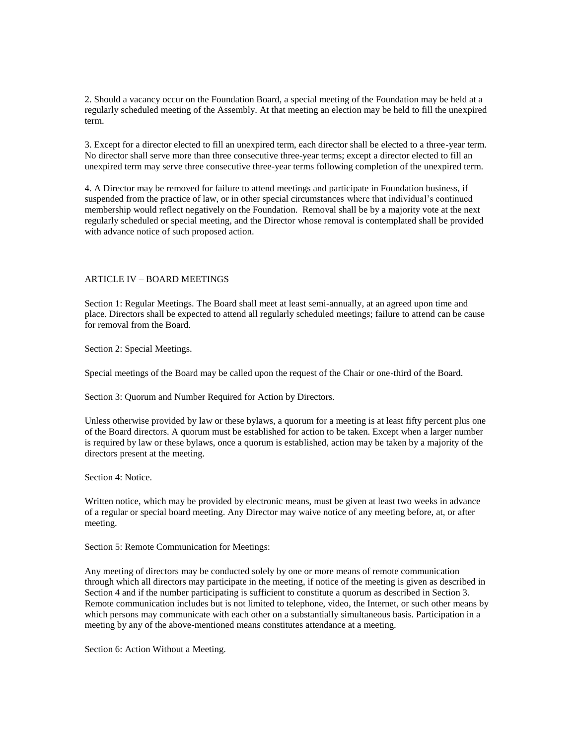2. Should a vacancy occur on the Foundation Board, a special meeting of the Foundation may be held at a regularly scheduled meeting of the Assembly. At that meeting an election may be held to fill the unexpired term.

3. Except for a director elected to fill an unexpired term, each director shall be elected to a three-year term. No director shall serve more than three consecutive three-year terms; except a director elected to fill an unexpired term may serve three consecutive three-year terms following completion of the unexpired term.

4. A Director may be removed for failure to attend meetings and participate in Foundation business, if suspended from the practice of law, or in other special circumstances where that individual's continued membership would reflect negatively on the Foundation. Removal shall be by a majority vote at the next regularly scheduled or special meeting, and the Director whose removal is contemplated shall be provided with advance notice of such proposed action.

## ARTICLE IV – BOARD MEETINGS

Section 1: Regular Meetings. The Board shall meet at least semi-annually, at an agreed upon time and place. Directors shall be expected to attend all regularly scheduled meetings; failure to attend can be cause for removal from the Board.

Section 2: Special Meetings.

Special meetings of the Board may be called upon the request of the Chair or one-third of the Board.

Section 3: Quorum and Number Required for Action by Directors.

Unless otherwise provided by law or these bylaws, a quorum for a meeting is at least fifty percent plus one of the Board directors. A quorum must be established for action to be taken. Except when a larger number is required by law or these bylaws, once a quorum is established, action may be taken by a majority of the directors present at the meeting.

Section 4: Notice.

Written notice, which may be provided by electronic means, must be given at least two weeks in advance of a regular or special board meeting. Any Director may waive notice of any meeting before, at, or after meeting.

Section 5: Remote Communication for Meetings:

Any meeting of directors may be conducted solely by one or more means of remote communication through which all directors may participate in the meeting, if notice of the meeting is given as described in Section 4 and if the number participating is sufficient to constitute a quorum as described in Section 3. Remote communication includes but is not limited to telephone, video, the Internet, or such other means by which persons may communicate with each other on a substantially simultaneous basis. Participation in a meeting by any of the above-mentioned means constitutes attendance at a meeting.

Section 6: Action Without a Meeting.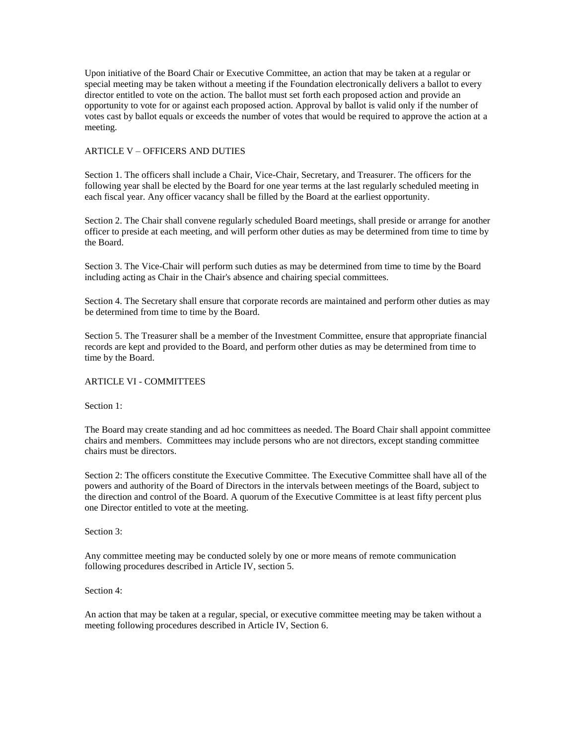Upon initiative of the Board Chair or Executive Committee, an action that may be taken at a regular or special meeting may be taken without a meeting if the Foundation electronically delivers a ballot to every director entitled to vote on the action. The ballot must set forth each proposed action and provide an opportunity to vote for or against each proposed action. Approval by ballot is valid only if the number of votes cast by ballot equals or exceeds the number of votes that would be required to approve the action at a meeting.

## ARTICLE V – OFFICERS AND DUTIES

Section 1. The officers shall include a Chair, Vice-Chair, Secretary, and Treasurer. The officers for the following year shall be elected by the Board for one year terms at the last regularly scheduled meeting in each fiscal year. Any officer vacancy shall be filled by the Board at the earliest opportunity.

Section 2. The Chair shall convene regularly scheduled Board meetings, shall preside or arrange for another officer to preside at each meeting, and will perform other duties as may be determined from time to time by the Board.

Section 3. The Vice-Chair will perform such duties as may be determined from time to time by the Board including acting as Chair in the Chair's absence and chairing special committees.

Section 4. The Secretary shall ensure that corporate records are maintained and perform other duties as may be determined from time to time by the Board.

Section 5. The Treasurer shall be a member of the Investment Committee, ensure that appropriate financial records are kept and provided to the Board, and perform other duties as may be determined from time to time by the Board.

#### ARTICLE VI - COMMITTEES

Section 1:

The Board may create standing and ad hoc committees as needed. The Board Chair shall appoint committee chairs and members. Committees may include persons who are not directors, except standing committee chairs must be directors.

Section 2: The officers constitute the Executive Committee. The Executive Committee shall have all of the powers and authority of the Board of Directors in the intervals between meetings of the Board, subject to the direction and control of the Board. A quorum of the Executive Committee is at least fifty percent plus one Director entitled to vote at the meeting.

Section 3:

Any committee meeting may be conducted solely by one or more means of remote communication following procedures described in Article IV, section 5.

Section 4:

An action that may be taken at a regular, special, or executive committee meeting may be taken without a meeting following procedures described in Article IV, Section 6.